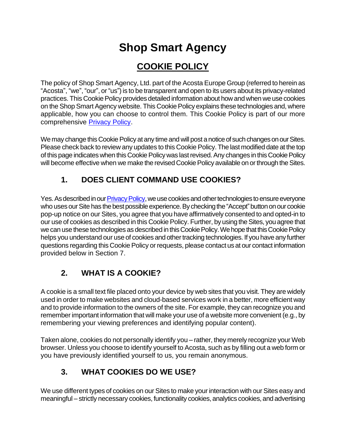# **Shop Smart Agency**

# **COOKIE POLICY**

The policy of Shop Smart Agency, Ltd. part of the Acosta Europe Group (referred to herein as "Acosta", "we", "our", or "us") is to be transparent and open to its users about its privacy-related practices. This Cookie Policy provides detailed information about how and when we use cookies on the Shop Smart Agency website. This Cookie Policy explains these technologies and, where applicable, how you can choose to control them. This Cookie Policy is part of our more comprehensiv[e Privacy Poli](https://www.shopsmartagency.co.uk/wp-content/uploads/2019/04/Website-Privacy-Policy.pdf)cy.

We may change this Cookie Policy at any time and will post a notice of such changes on our Sites. Please check back to review any updates to this Cookie Policy. The last modified date at the top of this page indicates when this Cookie Policy was last revised. Any changes in this Cookie Policy will become effective when we make the revised Cookie Policy available on or through the Sites.

### **1. DOES CLIENT COMMAND USE COOKIES?**

Yes. As described in ou[r Privacy Policy](https://www.shopsmartagency.co.uk/wp-content/uploads/2019/04/Website-Privacy-Policy.pdf), we use cookies and other technologies to ensure everyone who uses our Site has the best possible experience. By checking the "Accept" button on our cookie pop-up notice on our Sites, you agree that you have affirmatively consented to and opted-in to our use of cookies as described in this Cookie Policy. Further, by using the Sites, you agree that we can use these technologies as described in this Cookie Policy. We hope that this Cookie Policy helps you understand our use of cookies and other tracking technologies. If you have any further questions regarding this Cookie Policy or requests, please contact us at our contact information provided below in Section 7.

# **2. WHAT IS A COOKIE?**

A cookie is a small text file placed onto your device by web sites that you visit. They are widely used in order to make websites and cloud-based services work in a better, more efficient way and to provide information to the owners of the site. For example, they can recognize you and remember important information that will make your use of a website more convenient (e.g., by remembering your viewing preferences and identifying popular content).

Taken alone, cookies do not personally identify you – rather, they merely recognize your Web browser. Unless you choose to identify yourself to Acosta, such as by filling out a web form or you have previously identified yourself to us, you remain anonymous.

# **3. WHAT COOKIES DO WE USE?**

We use different types of cookies on our Sites to make your interaction with our Sites easy and meaningful – strictly necessary cookies, functionality cookies, analytics cookies, and advertising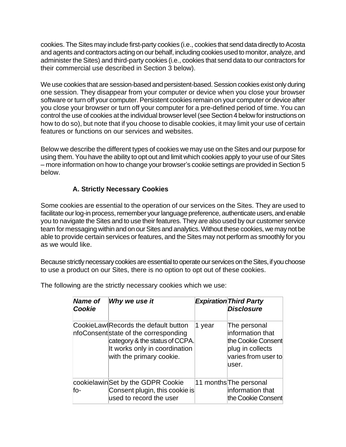cookies. The Sites may include first-party cookies (i.e., cookies that send data directly to Acosta and agents and contractors acting on our behalf, including cookies used to monitor, analyze, and administer the Sites) and third-party cookies (i.e., cookies that send data to our contractors for their commercial use described in Section 3 below).

We use cookies that are session-based and persistent-based. Session cookies exist only during one session. They disappear from your computer or device when you close your browser software or turn off your computer. Persistent cookies remain on your computer or device after you close your browser or turn off your computer for a pre-defined period of time. You can control the use of cookies at the individual browser level (see Section 4 below for instructions on how to do so), but note that if you choose to disable cookies, it may limit your use of certain features or functions on our services and websites.

Below we describe the different types of cookies we may use on the Sites and our purpose for using them. You have the ability to opt out and limit which cookies apply to your use of our Sites – more information on how to change your browser's cookie settings are provided in Section 5 below.

#### **A. Strictly Necessary Cookies**

Some cookies are essential to the operation of our services on the Sites. They are used to facilitate our log-in process, remember your language preference, authenticate users, and enable you to navigate the Sites and to use their features. They are also used by our customer service team for messaging within and on our Sites and analytics. Without these cookies, we may not be able to provide certain services or features, and the Sites may not perform as smoothly for you as we would like.

Because strictly necessary cookies are essential to operate our services on the Sites, if you choose to use a product on our Sites, there is no option to opt out of these cookies.

The following are the strictly necessary cookies which we use:

| <b>Name of</b><br>Cookie | Why we use it                                                                                                                                                                |        | <b>Expiration Third Party</b><br><b>Disclosure</b>                                                          |
|--------------------------|------------------------------------------------------------------------------------------------------------------------------------------------------------------------------|--------|-------------------------------------------------------------------------------------------------------------|
|                          | CookieLaw Records the default button<br>nfoConsent state of the corresponding<br>category & the status of CCPA.<br>It works only in coordination<br>with the primary cookie. | 1 year | The personal<br>information that<br>the Cookie Consent<br>plug in collects<br>varies from user to<br>luser. |
| fo-                      | cookielawinSet by the GDPR Cookie<br>Consent plugin, this cookie is<br>used to record the user                                                                               |        | 11 months The personal<br>information that<br>the Cookie Consent                                            |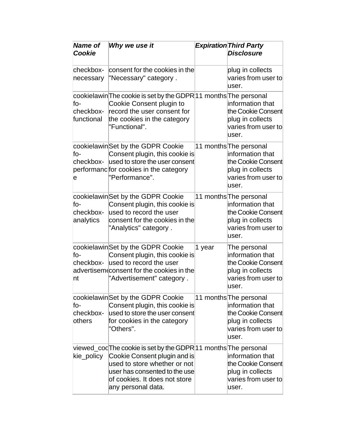| <b>Name of</b><br>Cookie             | Why we use it                                                                                                                                                                                                         |        | <b>Expiration Third Party</b><br><b>Disclosure</b>                                                                   |
|--------------------------------------|-----------------------------------------------------------------------------------------------------------------------------------------------------------------------------------------------------------------------|--------|----------------------------------------------------------------------------------------------------------------------|
| checkbox-<br>necessary               | consent for the cookies in the<br>"Necessary" category.                                                                                                                                                               |        | plug in collects<br>varies from user to<br>user.                                                                     |
| $f_{O}$ -<br>checkbox-<br>functional | cookielawin The cookie is set by the GDPR 11 months The personal<br>Cookie Consent plugin to<br>record the user consent for<br>the cookies in the category<br>"Functional".                                           |        | information that<br>the Cookie Consent<br>plug in collects<br>varies from user to<br>user.                           |
| fo-<br>checkbox-<br>e                | cookielawin Set by the GDPR Cookie<br>Consent plugin, this cookie is<br>used to store the user consent<br>performanc for cookies in the category<br>"Performance".                                                    |        | 11 months The personal<br>information that<br>the Cookie Consent<br>plug in collects<br>varies from user to<br>user. |
| $f_{O}$ -<br>checkbox-<br>analytics  | cookielawinSet by the GDPR Cookie<br>Consent plugin, this cookie is<br>used to record the user<br>consent for the cookies in the<br>"Analytics" category.                                                             |        | 11 months The personal<br>information that<br>the Cookie Consent<br>plug in collects<br>varies from user to<br>user. |
| fo-<br>checkbox-<br>nt               | cookielawin Set by the GDPR Cookie<br>Consent plugin, this cookie is<br>used to record the user<br>advertisem consent for the cookies in the<br>"Advertisement" category.                                             | 1 year | The personal<br>information that<br>the Cookie Consent<br>plug in collects<br>varies from user to<br>user.           |
| fo-<br>checkbox-<br>others           | cookielawin Set by the GDPR Cookie<br>Consent plugin, this cookie is<br>used to store the user consent<br>for cookies in the category<br>"Others".                                                                    |        | 11 months The personal<br>information that<br>the Cookie Consent<br>plug in collects<br>varies from user to<br>user. |
| kie_policy                           | viewed_cocThe cookie is set by the GDPR11 months The personal<br>Cookie Consent plugin and is<br>used to store whether or not<br>user has consented to the use<br>of cookies. It does not store<br>any personal data. |        | information that<br>the Cookie Consent<br>plug in collects<br>varies from user to<br>user.                           |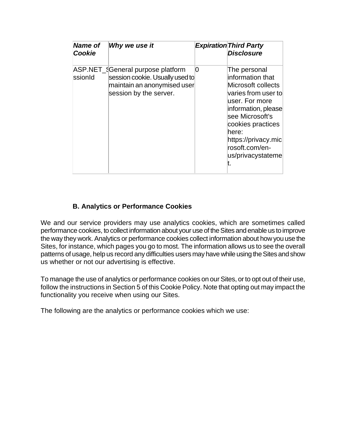| <b>Name of</b><br>Cookie | Why we use it                                                                                                                 |   | <b>Expiration Third Party</b><br><b>Disclosure</b>                                                                                                                                                                                    |
|--------------------------|-------------------------------------------------------------------------------------------------------------------------------|---|---------------------------------------------------------------------------------------------------------------------------------------------------------------------------------------------------------------------------------------|
| ssionId                  | ASP.NET_{General purpose platform<br>session cookie. Usually used to<br>maintain an anonymised user<br>session by the server. | O | The personal<br>information that<br>Microsoft collects<br>varies from user to<br>user. For more<br>information, please<br>see Microsoft's<br>cookies practices<br>here:<br>https://privacy.mic<br>rosoft.com/en-<br>us/privacystateme |

#### **B. Analytics or Performance Cookies**

We and our service providers may use analytics cookies, which are sometimes called performance cookies, to collect information about your use of the Sites and enable us to improve the way they work. Analytics or performance cookies collect information about how you use the Sites, for instance, which pages you go to most. The information allows us to see the overall patterns of usage, help us record any difficulties users may have while using the Sites and show us whether or not our advertising is effective.

To manage the use of analytics or performance cookies on our Sites, or to opt out of their use, follow the instructions in Section 5 of this Cookie Policy. Note that opting out may impact the functionality you receive when using our Sites.

The following are the analytics or performance cookies which we use: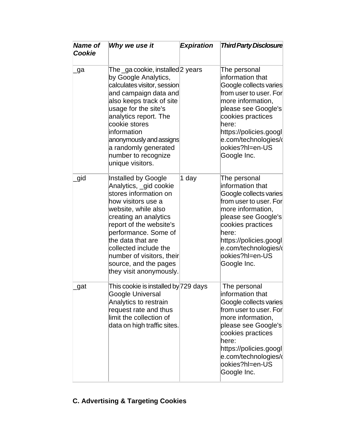| <b>Name of</b><br>Cookie | Why we use it                                                                                                                                                                                                                                                                                                                 | <b>Expiration</b> | <b>Third Party Disclosure</b>                                                                                                                                                                                                                      |
|--------------------------|-------------------------------------------------------------------------------------------------------------------------------------------------------------------------------------------------------------------------------------------------------------------------------------------------------------------------------|-------------------|----------------------------------------------------------------------------------------------------------------------------------------------------------------------------------------------------------------------------------------------------|
| ga                       | The _ga cookie, installed 2 years<br>by Google Analytics,<br>calculates visitor, session<br>and campaign data and<br>also keeps track of site<br>usage for the site's<br>analytics report. The<br>cookie stores<br>information<br>anonymously and assigns<br>a randomly generated<br>number to recognize<br>unique visitors.  |                   | The personal<br>information that<br>Google collects varies<br>from user to user. For<br>more information,<br>please see Google's<br>cookies practices<br>here:<br>https://policies.googl<br>e.com/technologies/d<br>ookies?hl=en-US<br>Google Inc. |
| gid                      | Installed by Google<br>Analytics, gid cookie<br>stores information on<br>how visitors use a<br>website, while also<br>creating an analytics<br>report of the website's<br>performance. Some of<br>the data that are<br>collected include the<br>number of visitors, their<br>source, and the pages<br>they visit anonymously. | 1 day             | The personal<br>information that<br>Google collects varies<br>from user to user. For<br>more information,<br>please see Google's<br>cookies practices<br>here:<br>https://policies.googl<br>e.com/technologies/d<br>ookies?hl=en-US<br>Google Inc. |
| gat                      | This cookie is installed by 729 days<br>Google Universal<br>Analytics to restrain<br>request rate and thus<br>limit the collection of<br>data on high traffic sites.                                                                                                                                                          |                   | The personal<br>information that<br>Google collects varies<br>from user to user. For<br>more information.<br>please see Google's<br>cookies practices<br>here:<br>https://policies.googl<br>e.com/technologies/(<br>ookies?hl=en-US<br>Google Inc. |

# **C. Advertising & Targeting Cookies**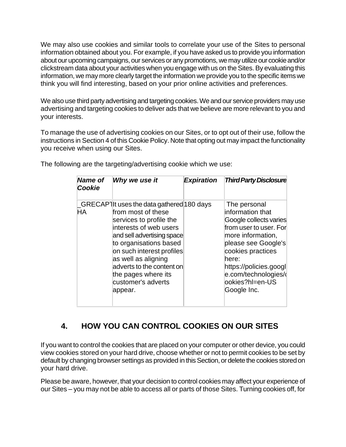We may also use cookies and similar tools to correlate your use of the Sites to personal information obtained about you. For example, if you have asked us to provide you information about our upcoming campaigns, our services or any promotions, we may utilize our cookie and/or clickstream data about your activities when you engage with us on the Sites. By evaluating this information, we may more clearly target the information we provide you to the specific items we think you will find interesting, based on your prior online activities and preferences.

We also use third party advertising and targeting cookies. We and our service providers may use advertising and targeting cookies to deliver ads that we believe are more relevant to you and your interests.

To manage the use of advertising cookies on our Sites, or to opt out of their use, follow the instructions in Section 4 of this Cookie Policy. Note that opting out may impact the functionality you receive when using our Sites.

| <b>Name of</b><br>Cookie | Why we use it                                                                                                                                                                                                                                                                                                          | <b>Expiration</b> | <b>Third Party Disclosure</b>                                                                                                                                                                                                                       |
|--------------------------|------------------------------------------------------------------------------------------------------------------------------------------------------------------------------------------------------------------------------------------------------------------------------------------------------------------------|-------------------|-----------------------------------------------------------------------------------------------------------------------------------------------------------------------------------------------------------------------------------------------------|
| ΗA                       | GRECAP] It uses the data gathered 180 days<br>from most of these<br>services to profile the<br>interests of web users<br>and sell advertising space<br>to organisations based<br>on such interest profiles<br>as well as aligning<br>adverts to the content on<br>the pages where its<br>customer's adverts<br>appear. |                   | The personal<br>information that<br>Google collects varies<br>from user to user. For<br>more information,<br>please see Google's<br>cookies practices<br>here:<br>https://policies.googl<br>e.com/technologies/d<br>lookies?hl=en-US<br>Google Inc. |

The following are the targeting/advertising cookie which we use:

### **4. HOW YOU CAN CONTROL COOKIES ON OUR SITES**

If you want to control the cookies that are placed on your computer or other device, you could view cookies stored on your hard drive, choose whether or not to permit cookies to be set by default by changing browser settings as provided in this Section, or delete the cookies stored on your hard drive.

Please be aware, however, that your decision to control cookies may affect your experience of our Sites – you may not be able to access all or parts of those Sites. Turning cookies off, for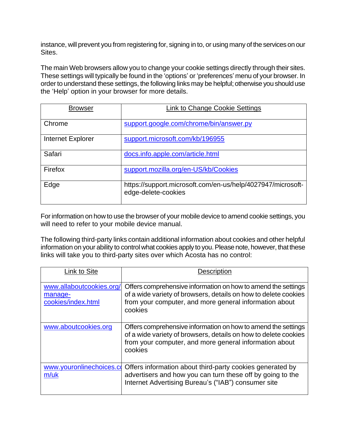instance, will prevent you from registering for, signing in to, or using many of the services on our Sites.

The main Web browsers allow you to change your cookie settings directly through their sites. These settings will typically be found in the 'options' or 'preferences' menu of your browser. In order to understand these settings, the following links may be helpful; otherwise you should use the 'Help' option in your browser for more details.

| <b>Browser</b>    | Link to Change Cookie Settings                                                     |
|-------------------|------------------------------------------------------------------------------------|
| Chrome            | support.google.com/chrome/bin/answer.py                                            |
| Internet Explorer | support.microsoft.com/kb/196955                                                    |
| Safari            | docs.info.apple.com/article.html                                                   |
| Firefox           | support.mozilla.org/en-US/kb/Cookies                                               |
| Edge              | https://support.microsoft.com/en-us/help/4027947/microsoft-<br>edge-delete-cookies |

For information on how to use the browser of your mobile device to amend cookie settings, you will need to refer to your mobile device manual.

The following third-party links contain additional information about cookies and other helpful information on your ability to control what cookies apply to you. Please note, however, that these links will take you to third-party sites over which Acosta has no control:

| Link to Site                                              | <b>Description</b>                                                                                                                                                                                    |
|-----------------------------------------------------------|-------------------------------------------------------------------------------------------------------------------------------------------------------------------------------------------------------|
| www.allaboutcookies.org/<br>manage-<br>cookies/index.html | Offers comprehensive information on how to amend the settings<br>of a wide variety of browsers, details on how to delete cookies<br>from your computer, and more general information about<br>cookies |
| www.aboutcookies.org                                      | Offers comprehensive information on how to amend the settings<br>of a wide variety of browsers, details on how to delete cookies<br>from your computer, and more general information about<br>cookies |
| www.youronlinechoices.co<br>m/uk                          | Offers information about third-party cookies generated by<br>advertisers and how you can turn these off by going to the<br>Internet Advertising Bureau's ("IAB") consumer site                        |